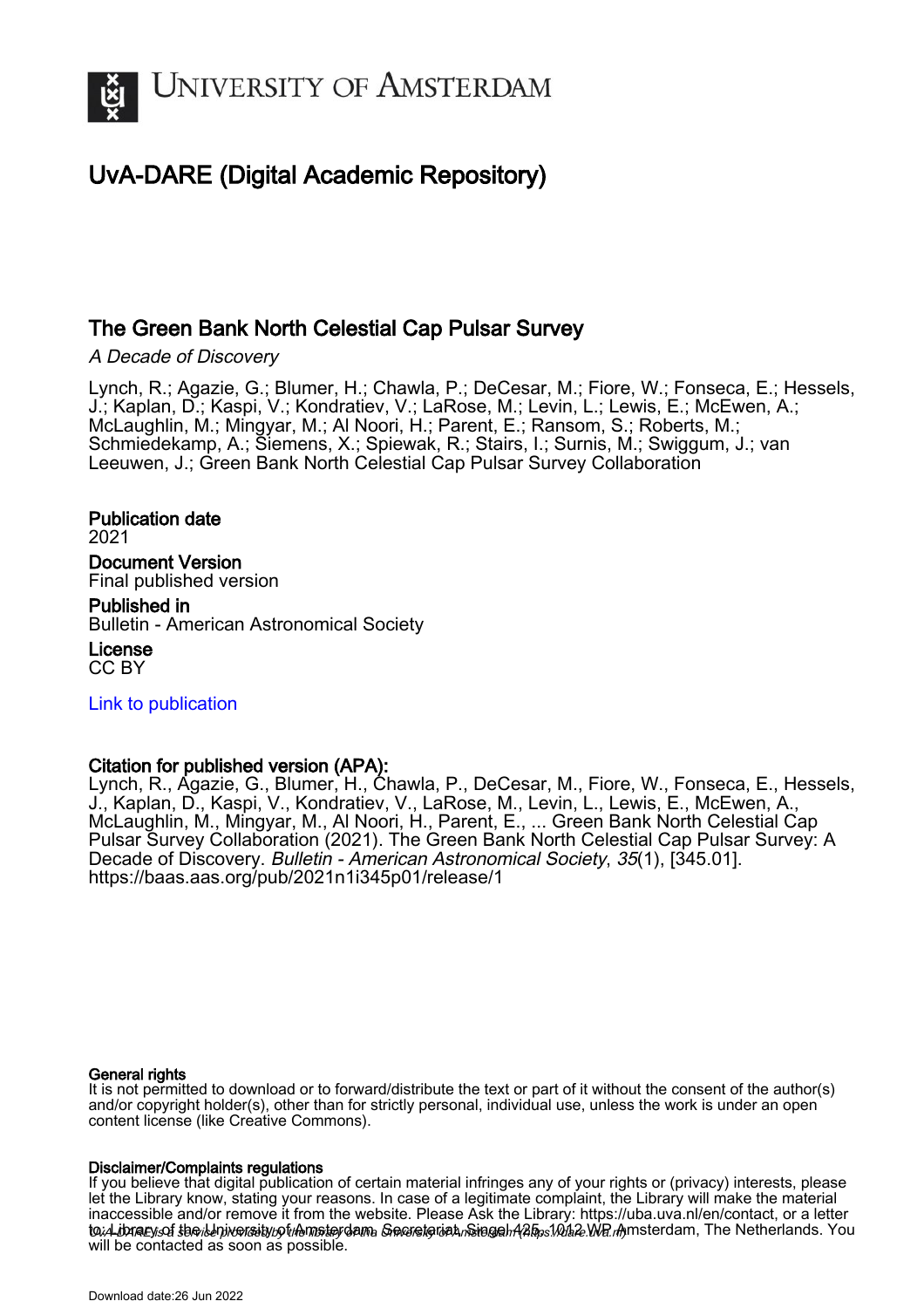

## UvA-DARE (Digital Academic Repository)

## The Green Bank North Celestial Cap Pulsar Survey

A Decade of Discovery

Lynch, R.; Agazie, G.; Blumer, H.; Chawla, P.; DeCesar, M.; Fiore, W.; Fonseca, E.; Hessels, J.; Kaplan, D.; Kaspi, V.; Kondratiev, V.; LaRose, M.; Levin, L.; Lewis, E.; McEwen, A.; McLaughlin, M.; Mingyar, M.; Al Noori, H.; Parent, E.; Ransom, S.; Roberts, M.; Schmiedekamp, A.; Siemens, X.; Spiewak, R.; Stairs, I.; Surnis, M.; Swiggum, J.; van Leeuwen, J.; Green Bank North Celestial Cap Pulsar Survey Collaboration

Publication date 2021 Document Version Final published version

Published in Bulletin - American Astronomical Society

License CC BY

[Link to publication](https://dare.uva.nl/personal/pure/en/publications/the-green-bank-north-celestial-cap-pulsar-survey(0e095a69-b0fc-4f85-8846-f95798bf9ddb).html)

### Citation for published version (APA):

Lynch, R., Agazie, G., Blumer, H., Chawla, P., DeCesar, M., Fiore, W., Fonseca, E., Hessels, J., Kaplan, D., Kaspi, V., Kondratiev, V., LaRose, M., Levin, L., Lewis, E., McEwen, A., McLaughlin, M., Mingyar, M., Al Noori, H., Parent, E., ... Green Bank North Celestial Cap Pulsar Survey Collaboration (2021). The Green Bank North Celestial Cap Pulsar Survey: A Decade of Discovery. Bulletin - American Astronomical Society, 35(1), [345.01]. <https://baas.aas.org/pub/2021n1i345p01/release/1>

#### General rights

It is not permitted to download or to forward/distribute the text or part of it without the consent of the author(s) and/or copyright holder(s), other than for strictly personal, individual use, unless the work is under an open content license (like Creative Commons).

#### Disclaimer/Complaints regulations

UvA-DARE is a service provided by the library of the University of Amsterdam (http*s*://dare.uva.nl) If you believe that digital publication of certain material infringes any of your rights or (privacy) interests, please let the Library know, stating your reasons. In case of a legitimate complaint, the Library will make the material inaccessible and/or remove it from the website. Please Ask the Library: https://uba.uva.nl/en/contact, or a letter to: Library of the Idniversity of Amsterdam, Secretariat, Singel 425, 1012. We Amsterdam, The Netherlands. You will be contacted as soon as possible.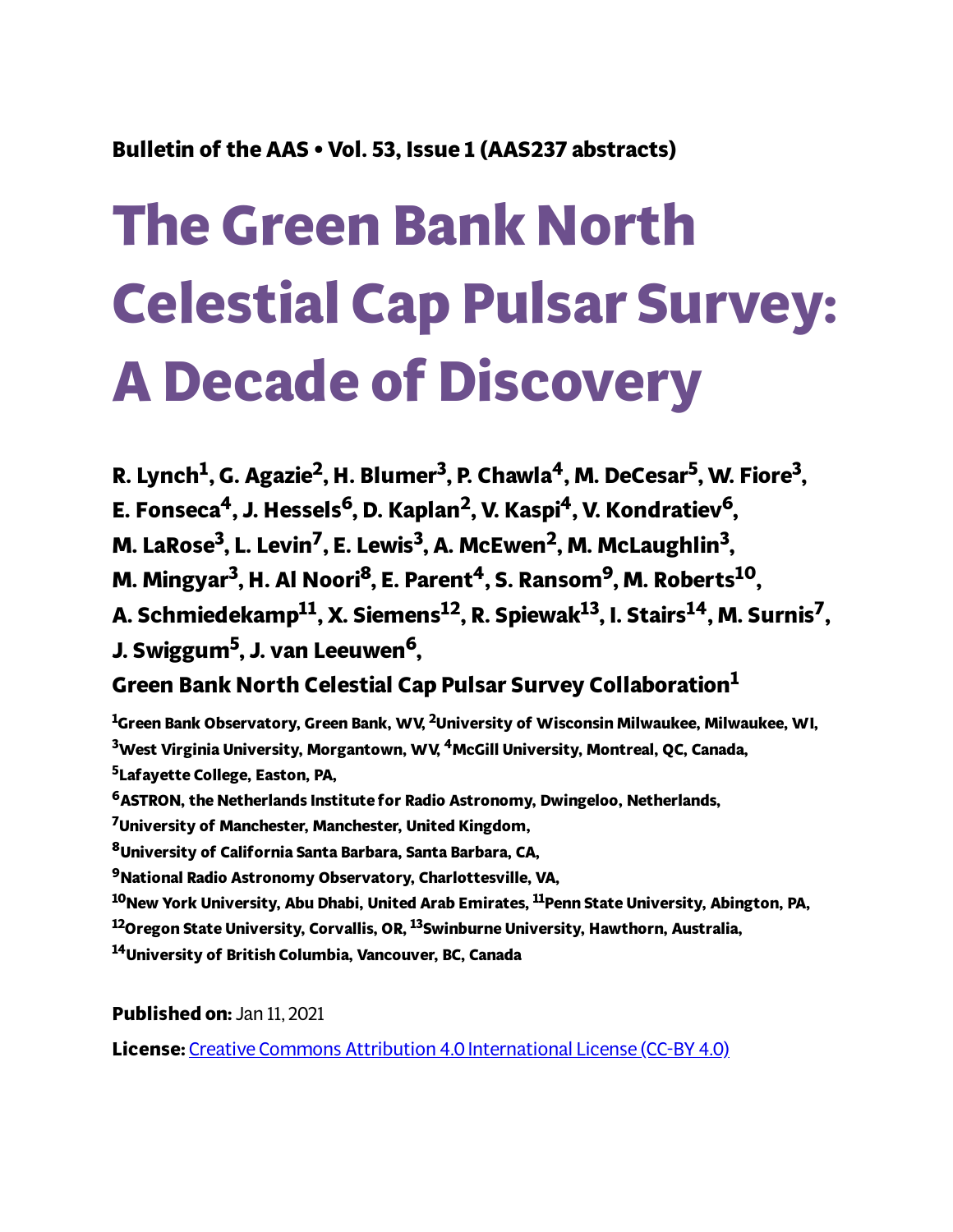## **Bulletin of the AAS • Vol. 53, Issue 1 (AAS237 abstracts)**

# **The Green Bank North Celestial Cap Pulsar Survey: A Decade of Discovery**

R. Lynch<sup>1</sup>, G. Agazie<sup>2</sup>, H. Blumer<sup>3</sup>, P. Chawla<sup>4</sup>, M. DeCesar<sup>5</sup>, W. Fiore<sup>3</sup>, **E. Fonseca <sup>4</sup>, J. Hessels <sup>6</sup>, D. Kaplan 2 , V. Kaspi <sup>4</sup>, V. Kondratiev 6, M. LaRose 3 , L. Levin 7 , E. Lewis 3 , A. McEwen 2 , M. McLaughlin 3 , M. Mingyar 3 , H. Al Noori <sup>8</sup>, E. Parent <sup>4</sup>, S. Ransom9, M. Roberts <sup>10</sup>, A. Schmiedekamp 11 , X. Siemens 12 , R. Spiewak 13 , I. Stairs <sup>14</sup>, M. Surnis 7 , J. Swiggum<sup>5</sup> , J. van Leeuwen 6,**

## **Green Bank North Celestial Cap Pulsar Survey Collaboration 1**

**Green Bank Observatory, Green Bank, WV, <sup>2</sup>University of Wisconsin Milwaukee, Milwaukee, WI, West Virginia University, Morgantown, WV, <sup>4</sup>McGill University, Montreal, QC, Canada, Lafayette College, Easton, PA, ASTRON, the Netherlands Institute for Radio Astronomy, Dwingeloo, Netherlands, University of Manchester, Manchester, United Kingdom, University of California Santa Barbara, Santa Barbara, CA, National Radio Astronomy Observatory, Charlottesville, VA, New York University, Abu Dhabi, United Arab Emirates, <sup>11</sup>Penn State University, Abington, PA, Oregon State University, Corvallis, OR, <sup>13</sup>Swinburne University, Hawthorn, Australia, University of British Columbia, Vancouver, BC, Canada**

**Published on:** Jan 11, 2021

**License:** Creative Commons Attribution 4.0 [International](https://creativecommons.org/licenses/by/4.0/) License (CC-BY 4.0)